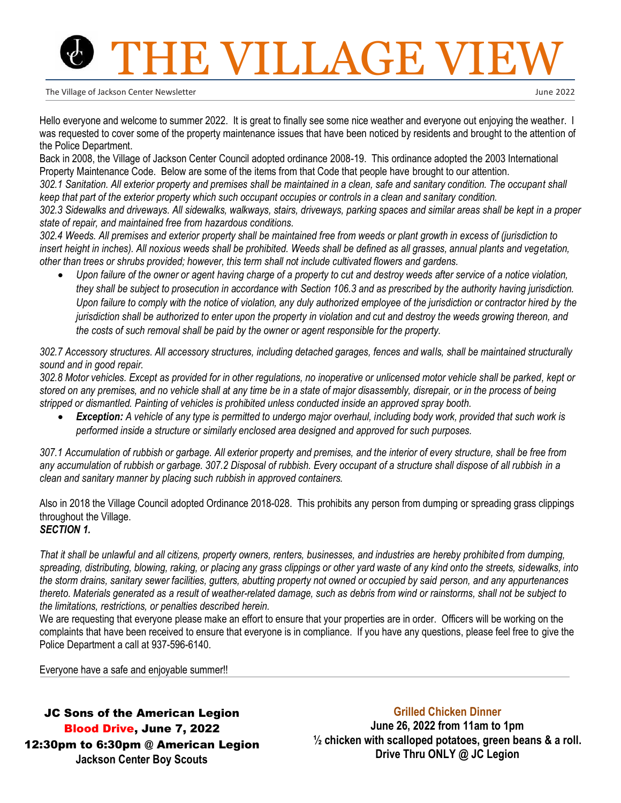# **TE VILLAGE V**

The Village of Jackson Center Newsletter

June 2022

Hello everyone and welcome to summer 2022. It is great to finally see some nice weather and everyone out enjoying the weather. I was requested to cover some of the property maintenance issues that have been noticed by residents and brought to the attention of the Police Department.

Back in 2008, the Village of Jackson Center Council adopted ordinance 2008-19. This ordinance adopted the 2003 International Property Maintenance Code. Below are some of the items from that Code that people have brought to our attention.

*302.1 Sanitation. All exterior property and premises shall be maintained in a clean, safe and sanitary condition. The occupant shall keep that part of the exterior property which such occupant occupies or controls in a clean and sanitary condition.*

*302.3 Sidewalks and driveways. All sidewalks, walkways, stairs, driveways, parking spaces and similar areas shall be kept in a proper state of repair, and maintained free from hazardous conditions.*

*302.4 Weeds. All premises and exterior property shall be maintained free from weeds or plant growth in excess of (jurisdiction to insert height in inches). All noxious weeds shall be prohibited. Weeds shall be defined as all grasses, annual plants and vegetation, other than trees or shrubs provided; however, this term shall not include cultivated flowers and gardens.* 

• *Upon failure of the owner or agent having charge of a property to cut and destroy weeds after service of a notice violation, they shall be subject to prosecution in accordance with Section 106.3 and as prescribed by the authority having jurisdiction. Upon failure to comply with the notice of violation, any duly authorized employee of the jurisdiction or contractor hired by the jurisdiction shall be authorized to enter upon the property in violation and cut and destroy the weeds growing thereon, and the costs of such removal shall be paid by the owner or agent responsible for the property.*

*302.7 Accessory structures. All accessory structures, including detached garages, fences and walls, shall be maintained structurally sound and in good repair.*

*302.8 Motor vehicles. Except as provided for in other regulations, no inoperative or unlicensed motor vehicle shall be parked, kept or stored on any premises, and no vehicle shall at any time be in a state of major disassembly, disrepair, or in the process of being stripped or dismantled. Painting of vehicles is prohibited unless conducted inside an approved spray booth.* 

• *Exception: A vehicle of any type is permitted to undergo major overhaul, including body work, provided that such work is performed inside a structure or similarly enclosed area designed and approved for such purposes.*

*307.1 Accumulation of rubbish or garbage. All exterior property and premises, and the interior of every structure, shall be free from any accumulation of rubbish or garbage. 307.2 Disposal of rubbish. Every occupant of a structure shall dispose of all rubbish in a clean and sanitary manner by placing such rubbish in approved containers.*

Also in 2018 the Village Council adopted Ordinance 2018-028. This prohibits any person from dumping or spreading grass clippings throughout the Village.

*SECTION 1.*

*That it shall be unlawful and all citizens, property owners, renters, businesses, and industries are hereby prohibited from dumping, spreading, distributing, blowing, raking, or placing any grass clippings or other yard waste of any kind onto the streets, sidewalks, into the storm drains, sanitary sewer facilities, gutters, abutting property not owned or occupied by said person, and any appurtenances thereto. Materials generated as a result of weather-related damage, such as debris from wind or rainstorms, shall not be subject to the limitations, restrictions, or penalties described herein.*

We are requesting that everyone please make an effort to ensure that your properties are in order. Officers will be working on the complaints that have been received to ensure that everyone is in compliance. If you have any questions, please feel free to give the Police Department a call at 937-596-6140.

Everyone have a safe and enjoyable summer!!

JC Sons of the American Legion Blood Drive, June 7, 2022 12:30pm to 6:30pm @ American Legion **Jackson Center Boy Scouts**

#### **Grilled Chicken Dinner**

**June 26, 2022 from 11am to 1pm ½ chicken with scalloped potatoes, green beans & a roll. Drive Thru ONLY @ JC Legion**